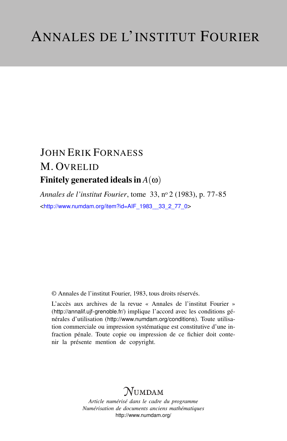# JOHN ERIK FORNAESS M. OVRELID Finitely generated ideals in  $A(\omega)$

*Annales de l'institut Fourier*, tome 33, n<sup>o</sup> 2 (1983), p. 77-85 <[http://www.numdam.org/item?id=AIF\\_1983\\_\\_33\\_2\\_77\\_0](http://www.numdam.org/item?id=AIF_1983__33_2_77_0)>

© Annales de l'institut Fourier, 1983, tous droits réservés.

L'accès aux archives de la revue « Annales de l'institut Fourier » (<http://annalif.ujf-grenoble.fr/>) implique l'accord avec les conditions générales d'utilisation (<http://www.numdam.org/conditions>). Toute utilisation commerciale ou impression systématique est constitutive d'une infraction pénale. Toute copie ou impression de ce fichier doit contenir la présente mention de copyright.

## NUMDAM

*Article numérisé dans le cadre du programme Numérisation de documents anciens mathématiques* <http://www.numdam.org/>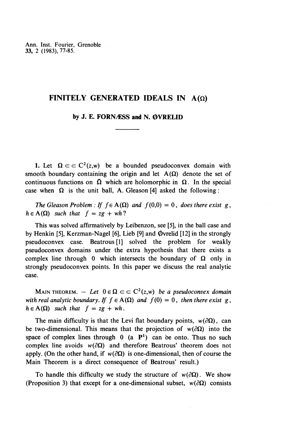Ann. Inst. Fourier, Grenoble **33,** 2 (1983), 77-85.

### **FINITELY GENERATED IDEALS IN**  $A(\Omega)$

### by J. E. FORN**ASS** and N. OVRELID

1. Let  $\Omega \subset \subset \mathbb{C}^2(z,w)$  be a bounded pseudoconvex domain with smooth boundary containing the origin and let  $A(\Omega)$  denote the set of continuous functions on  $\overline{\Omega}$  which are holomorphic in  $\Omega$ . In the special case when  $\Omega$  is the unit ball, A. Gleason [4] asked the following:

*The Gleason Problem : If*  $f \in A(\Omega)$  *and*  $f(0,0) = 0$ *, does there exist g,*  $h \in A(\Omega)$  *such that*  $f = zg + wh$ ?

This was solved affirmatively by Leibenzon, see [5], in the ball case and by Henkin [5], Kerzman-Nagel [6], Lieb [9] and  $\Phi$ vrelid [12] in the strongly pseudoconvex case. Beatrous [1] solved the problem for weakly pseudoconvex domains under the extra hypothesis that there exists a complex line through 0 which intersects the boundary of  $\Omega$  only in strongly pseudoconvex points. In this paper we discuss the real analytic case.

MAIN THEOREM.  $-$  *Let*  $0 \in \Omega \subset \subset C^2(z,w)$  *be a pseudoconvex domain* with real analytic boundary. If  $f \in A(\Omega)$  and  $f(0) = 0$ , then there exist g, *with real analytic boundary. If*  $f \in A(\Omega)$  *and*  $f(0) = 0$ *, then there exist*  $g$ *,*  $h \in A(\Omega)$  *such that*  $f = zg + wh$ *.* 

The main difficulty is that the Levi flat boundary points,  $w(\partial\Omega)$ , can be two-dimensional. This means that the projection of  $w(\partial \Omega)$  into the space of complex lines through  $0$  (a  $P<sup>1</sup>$ ) can be onto. Thus no such complex line avoids  $w(\partial \Omega)$  and therefore Beatrous' theorem does not apply. (On the other hand, if  $w(\partial \Omega)$  is one-dimensional, then of course the Main Theorem is a direct consequence of Beatrous' result.)

To handle this difficulty we study the structure of  $w(\partial \Omega)$ . We show (Proposition 3) that except for a one-dimensional subset,  $w(\partial \Omega)$  consists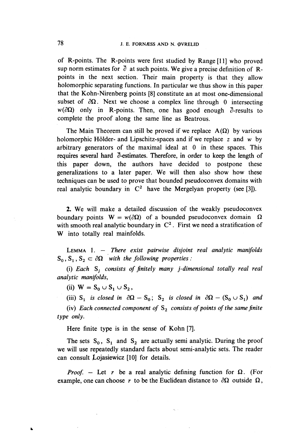of R-points. The R-points were first studied by Range [11] who proved sup norm estimates for  $\overline{\partial}$  at such points. We give a precise definition of Rpoints in the next section. Their main property is that they allow holomorphic separating functions. In particular we thus show in this paper that the Kohn-Nirenberg points [8] constitute an at most one-dimensional subset of  $\partial \Omega$ . Next we choose a complex line through 0 intersecting  $w(\partial\Omega)$  only in R-points. Then, one has good enough  $\partial$ -results to complete the proof along the same line as Beatrous.

The Main Theorem can still be proved if we replace  $A(\Omega)$  by various holomorphic Hölder- and Lipschitz-spaces and if we replace z and w by arbitrary generators of the maximal ideal at 0 in these spaces. This requires several hard  $\bar{\partial}$ -estimates. Therefore, in order to keep the length of this paper down, the authors have decided to postpone these generalizations to a later paper. **We** will then also show how these techniques can be used to prove that bounded pseudoconvex domains with real analytic boundary in  $C^2$  have the Mergelyan property (see [3]).

**2. We** will make a detailed discussion of the weakly pseudoconvex boundary points  $W = w(\partial \Omega)$  of a bounded pseudoconvex domain  $\Omega$ with smooth real analytic boundary in  $C^2$ . First we need a stratification of W into totally real mainfolds.

LEMMA 1. — *There exist pairwise disjoint real analytic manifolds*  $S_0, S_1, S_2 \subset \partial \Omega$  with the following properties :

(i) *Each Sj consists of finitely many j-dimensional totally real real analytic manifolds,*

(ii)  $W = S_0 \cup S_1 \cup S_2$ ,

(iii)  $S_1$  is closed in  $\partial\Omega - S_0$ ;  $S_2$  is closed in  $\partial\Omega - (S_0 \cup S_1)$  and

(iv) *Each connected component of* S^ *consists of points of the same finite type only.*

**Here** finite type is in the sense of Kohn [7].

The sets  $S_0$ ,  $S_1$  and  $S_2$  are actually semi analytic. During the proof we will use repeatedly standard facts about semi-analytic sets. The reader can consult  $\dot{\text{Lojasiewicz}}$  [10] for details.

*Proof.* – Let r be a real analytic defining function for  $\Omega$ . (For example, one can choose r to be the Euclidean distance to  $\partial\Omega$  outside  $\Omega$ ,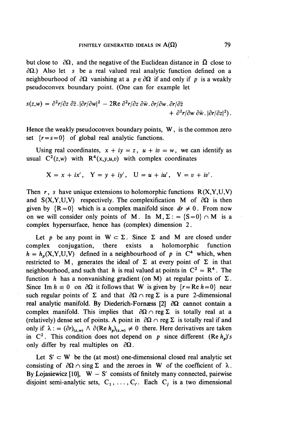but close to  $\partial\Omega$ , and the negative of the Euclidean distance in  $\overline{\Omega}$  close to  $\partial \Omega$ .) Also let s be a real valued real analytic function defined on a neighbourhood of  $\partial\Omega$  vanishing at a  $p \in \partial\Omega$  if and only if p is a weakly pseudoconvex boundary point. (One can for example let

$$
s(z,w) = \frac{\partial^2 r}{\partial z} \cdot \frac{\partial \bar{r}}{\partial w^2} - 2 \text{Re } \frac{\partial^2 r}{\partial z} \cdot \frac{\partial \bar{w}}{\partial w} \cdot \frac{\partial r}{\partial w} \cdot \frac{\partial r}{\partial \bar{z}} + \frac{\partial^2 r}{\partial w} \frac{\partial \bar{w}}{\partial w} \cdot \frac{\partial \bar{r}}{\partial z^2}.
$$

Hence the weakly pseudoconvex boundary points, W, is the common zero set  $\{r=s=0\}$  of global real analytic functions.

Using real coordinates,  $x + iy = z$ ,  $u + iv = w$ , we can identify as usual  $C^2(z,w)$  with  $R^4(x,y,u,v)$  with complex coordinates

$$
X = x + ix'
$$
,  $Y = y + iy'$ ,  $U = u + iu'$ ,  $V = v + iv'$ .

Then  $r$ , s have unique extensions to holomorphic functions  $R(X, Y, U, V)$ and  $S(X, Y, U, V)$  respectively. The complexification M of  $\partial \Omega$  is then given by  ${R=0}$  which is a complex manifold since  $dr \neq 0$ . From now on we will consider only points of M. In M,  $\Sigma$ : = {S=0}  $\cap$  M is a complex hypersurface, hence has (complex) dimension 2.

Let p be any point in  $W \subset \Sigma$ . Since  $\Sigma$  and M are closed under complex conjugation, there exists a holomorphic function  $h = h_n(X, Y, U, V)$  defined in a neighbourhood of p in  $C^4$  which, when restricted to M, generates the ideal of  $\Sigma$  at every point of  $\Sigma$  in that neighbourhood, and such that *h* is real valued at points in  $C^2 = R^4$ . The function *h* has a nonvanishing gradient (on M) at regular points of  $\Sigma$ . Since Im  $h \equiv 0$  on  $\partial \Omega$  it follows that W is given by  $\{r = \text{Re } h = 0\}$  near such regular points of  $\Sigma$  and that  $\partial\Omega \cap \text{reg }\Sigma$  is a pure 2-dimensional real analytic manifold. By Diederich-Fornaess [2]  $\partial \Omega$  cannot contain a complex manifold. This implies that  $\partial \Omega \cap \text{reg } \Sigma$  is totally real at a (relatively) dense set of points. A point in  $\partial\Omega \cap \text{reg } \Sigma$  is totally real if and only if  $\lambda := (\partial r)_{(z,w)} \wedge \partial (\text{Re } h_p)_{(z,w)} \neq 0$  there. Here derivatives are taken in  $C^2$ . This condition does not depend on *p* since different (Re  $h_p$ )'s only differ by real multiples on  $\partial \Omega$ .

Let  $S' \subset W$  be the (at most) one-dimensional closed real analytic set consisting of  $\partial\Omega \cap \partial \Omega$  and the zeroes in W of the coefficient of  $\lambda$ . By Lojasiewicz [10],  $W - S'$  consists of finitely many connected, pairwise disjoint semi-analytic sets,  $C_1, \ldots, C_{\ell}$ . Each  $C_j$  is a two dimensional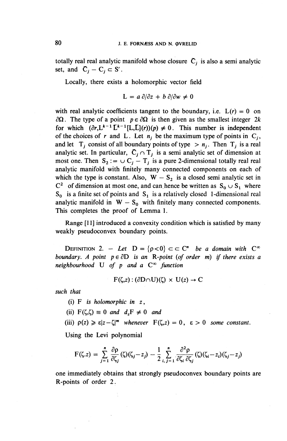totally real real analytic manifold whose closure  $\overline{C}_i$  is also a semi analytic set, and  $\bar{C}_j - C_j \subset S'$ .

Locally, there exists a holomorphic vector field

$$
L = a \partial/\partial z + b \partial/\partial w \neq 0
$$

with real analytic coefficients tangent to the boundary, i.e.  $L(r) = 0$  on  $\partial \Omega$ . The type of a point  $p \in \partial \Omega$  is then given as the smallest integer 2k for which  $(\partial r, L^{k-1}L^{k-1}[L, L](r))(p) \neq 0$ . This number is independent of the choices of r and L. Let  $n_i$  be the maximum type of points in  $C_i$ , and let  $T_i$  consist of all boundary points of type  $\ge n_i$ . Then  $T_i$  is a real analytic set. In particular,  $\overline{C}_j \cap T_j$  is a semi analytic set of dimension at most one. Then  $S_2 := \cup C_j - T_j$  is a pure 2-dimensional totally real real analytic manifold with finitely many connected components on each of which the type is constant. Also,  $W - S_2$  is a closed semi analytic set in  $C^2$  of dimension at most one, and can hence be written as  $S_0 \cup S_1$  where  $S_0$  is a finite set of points and  $S_1$  is a relatively closed 1-dimensional real analytic manifold in  $W - S_0$  with finitely many connected components. This completes the proof of Lemma 1.

Range [11] introduced a convexity condition which is satisfied by many weakly pseudoconvex boundary points.

**DEFINITION 2.** - Let  $D = \{p < 0\} \subset \subset \mathbb{C}^n$  be a domain with  $C^{\infty}$ *boundary. A point*  $p \in \partial D$  *is an R-point (of order m) if there exists a neighbourhood* U *of p and a* **C°°** *function*

$$
F(\zeta,z):(\partial D \cap U)(\zeta) \times U(z) \to C
$$

*such that*

- (i) F *is holomorphic in z,*
- (ii)  $F(\zeta,\zeta) \equiv 0$  and  $d,F \neq 0$  and

(iii)  $\rho(z) \geqslant \varepsilon |z-\zeta|^m$  whenever  $F(\zeta,z) = 0$ ,  $\varepsilon > 0$  some constant.

Using the Levi polynomial

$$
F(\zeta.z) = \sum_{j=1}^n \frac{\partial \rho}{\partial \zeta_j}(\zeta)(\zeta_j - z_j) - \frac{1}{2} \sum_{i,j=1}^n \frac{\partial^2 \rho}{\partial \zeta_i \partial \zeta_j}(\zeta)(\zeta_i - z_i)(\zeta_j - z_j)
$$

one immediately obtains that strongly pseudoconvex boundary points are R-points of order 2.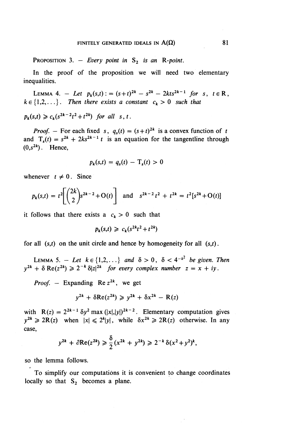PROPOSITION 3.  $-$  *Every point in*  $S_2$  *is an R-point.* 

In the proof of the proposition we will need two elementary inequalities.

LEMMA 4. - Let  $p_k(s,t)$ : =  $(s+t)^{2k}$  -  $s^{2k}$  - 2kts<sup>2k-1</sup>  $\int$  *for*  $s, t \in \mathbb{R}$ ,  $k \in \{1,2,\ldots\}$ *. Then there exists a constant*  $c_k > 0$  such that

 $p_k(s,t) \geq c_k(s^{2k-2}t^2+t^{2k})$  for all s, t.

*Proof.* – For each fixed s,  $q_s(t) = (s+t)^{2k}$  is a convex function of t and  $T_s(t) = s^{2k} + 2ks^{2k-1} t$  is an equation for the tangentline through  $(0,s^{2k})$ . Hence,

$$
p_k(s,t) = q_s(t) - \mathbf{T}_s(t) > 0
$$

whenever  $t \neq 0$ . Since

$$
p_k(s,t) = t^2 \left[ \binom{2k}{2} s^{2k-2} + O(t) \right] \text{ and } s^{2k-2} t^2 + t^{2k} = t^2 [s^{2k} + O(t)]
$$

it follows that there exists a  $c_k > 0$  such that

$$
p_k(s,t) \geq c_k(s^{2k}t^2 + t^{2k})
$$

for all  $(s,t)$  on the unit circle and hence by homogeneity for all  $(s,t)$ .

LEMMA 5. -*Let*  $k \in \{1, 2, ...\}$  and  $\delta > 0$ ,  $\delta < 4^{-k^2}$  be given. Then  $y^{2k} + \delta \text{Re}(z^{2k}) \geq 2^{-k} \delta |z|^{2k}$  *for every complex number*  $z = x + iy$ .

*Proof.* – Expanding Re  $z^{2k}$ , we get

$$
y^{2k} + \delta \text{Re}(z^{2k}) \geq y^{2k} + \delta x^{2k} - \text{R}(z)
$$

with  $R(z) = 2^{2k-1} \delta y^2 \max(|x|, |y|)^{2k-2}$ . Elementary computation gives with  $R(z) = z$  by max  $(|x|, |y|)$ . Elementary computation gives<br> $y^{2k} \ge 2R(z)$  when  $|x| \le 2^k |y|$ , while  $\delta x^{2k} \ge 2R(z)$  otherwise. In any case,

$$
y^{2k} + \partial \text{Re}(z^{2k}) \geq \frac{\delta}{2} (x^{2k} + y^{2k}) \geq 2^{-k} \delta (x^2 + y^2)^k,
$$

so the lemma follows.

To simplify our computations it is convenient to change coordinates locally so that  $S_2$  becomes a plane.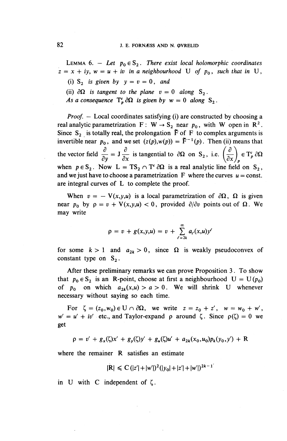LEMMA 6. - Let  $p_0 \in S_2$ . There exist local holomorphic coordinates  $\dot{z} = x + iy$ ,  $w = u + iv$  in a neighbourhood U of  $p_0$ , such that in U,

(i)  $S_2$  *is given by*  $y = v = 0$ , and

(ii)  $\partial\Omega$  is tangent to the plane  $v = 0$  along S<sub>2</sub>.

*As a consequence*  $T_p^c \partial \Omega$  *is given by*  $w = 0$  *along*  $S_2$ .

*Proof. -* Local coordinates satisfying (i) are constructed by choosing a real analytic parametrization  $F: W \rightarrow S_2$  near  $p_0$ , with W open in  $R^2$ Since  $S_2$  is totally real, the prolongation  $\tilde{F}$  of F to complex arguments is invertible near  $p_0$ , and we set  $(z(p), w(p)) = \tilde{F}^{-1}(p)$ . Then (ii) means that the vector field  $\frac{\partial}{\partial t} = J \frac{\partial}{\partial t}$  is tangential to  $\partial \Omega$  on  $S_2$ , i.e.  $\left(\frac{\partial}{\partial t}\right) \in T_n^c \partial \Omega$  $\frac{\partial}{\partial y} = \int \frac{\partial}{\partial x}$  is tangential to  $\partial \Omega$  on S<sub>2</sub>, i.e.  $\left(\frac{\partial}{\partial x}\right)$ when  $p \in S_2$ . Now  $L = TS_2 \cap T^c \partial \Omega$  is a real analytic line field on  $S_2$ , and we just have to choose a parametrization  $\mathbf F$  where the curves  $u = \text{const.}$ are integral curves of L to complete the proof.

When  $v = -V(x,y,u)$  is a local parametrization of  $\partial\Omega$ ,  $\Omega$  is given near  $p_0$  by  $\rho = v + V(x, y, u) < 0$ , provided  $\partial/\partial v$  points out of  $\Omega$ . We may write

$$
\rho = v + g(x, y, u) = v + \sum_{\ell=2k}^{\infty} a_{\ell}(x, u) y^{\ell}
$$

for some  $k > 1$  and  $a_{2k} > 0$ , since  $\Omega$  is weakly pseudoconvex of constant type on  $S_2$ .

After these preliminary remarks we can prove Proposition 3. To show that  $p_0 \in S_2$  is an R-point, choose at first a neighbourhood  $U = U(p_0)$ of  $p_0$  on which  $a_{2k}(x,u) > a > 0$ . We will shrink U whenever necessary without saying so each time.

For  $\zeta = (z_0, w_0) \in U \cap \partial \Omega$ , we write  $z = z_0 + z'$ ,  $w = w_0 + w'$ ,  $w' = u' + iv'$  etc., and Taylor-expand  $\rho$  around  $\zeta$ . Since  $\rho(\zeta) = 0$  we get

 $p = v' + g_x(\zeta)x' + g_y(\zeta)y' + g_y(\zeta)u' + a_{2k}(x_0, u_0)p_k(y_0, y') + R$ 

where the remainer R satisfies an estimate

$$
|\mathbf{R}| \leq C (|z'| + |w'|)^2 (|y_0| + |z'| + |w'|)^{2k - 1}
$$

in U with C independent of  $\zeta$ .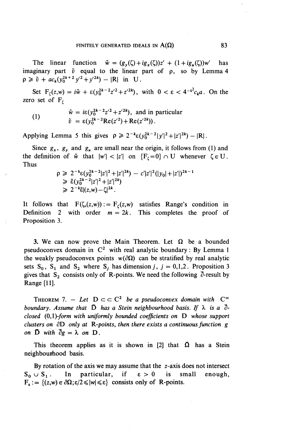The linear function  $\tilde{w} = (g_v(\zeta) + ig_x(\zeta))z' + (1 + ig_y(\zeta))w'$  has imaginary part  $\tilde{v}$  equal to the linear part of  $\rho$ , so by Lemma 4  $p \ge \tilde{v} + ac_k(y_0^{2k+2}y^2 + y^2k) - |R|$  in U.

Set  $F_r(z,w) = i\tilde{w} + \varepsilon (y_0^{2k-2}z'^{2}+z'^{2k})$ , with  $0 < \varepsilon < 4^{-k^2}c_k a$ . On the zero set of  $F_t$ 

(1) 
$$
\tilde{w} = i\epsilon (y_0^{2k-2}z'^2 + z'^{2k}), \text{ and in particular} \n\tilde{v} = \epsilon (y_0^{2k-2}Re(z'^2) + Re(z'^{2k})).
$$

Applying Lemma 5 this gives  $\rho \ge 2^{-k} \varepsilon (y_0^{2k-2} |y'|^2 + |z'|^{2k}) - |R|$ .

Since  $g_x$ ,  $g_y$  and  $g_y$  are small near the origin, it follows from (1) and the definition of  $\tilde{w}$  that  $|w'| < |z'|$  on  $\{F<sub>\zeta</sub>=0\} \cap U$  whenever  $\zeta \in U$ . Thus

$$
\begin{aligned} \rho &\ge 2^{-k} \varepsilon (y_0^{2k-2} |z'|^2 + |z'|^{2k}) - c' |z'|^2 (|y_0| + |z'|)^{2k-1} \\ &\ge \tilde{\varepsilon} (y_0^{2k-2} |z'|^2 + |z'|^{2k}) \\ &\ge 2^{-k} \tilde{\varepsilon} |(z,w) - \zeta|^{2k} .\end{aligned}
$$

It follows that  $F(\zeta,(z,w)) := F_{\zeta}(z,w)$  satisfies Range's condition in Definition 2 with order  $m = 2k$ . This completes the proof of Proposition 3.

3. We can now prove the Main Theorem. Let  $\Omega$  be a bounded pseudoconvex domain in  $C^2$  with real analytic boundary: By Lemma 1 the weakly pseudoconvex points  $w(\partial \Omega)$  can be stratified by real analytic sets  $S_0$ ,  $S_1$  and  $S_2$  where  $S_j$  has dimension *j*,  $j = 0,1,2$ . Proposition 3 gives that  $S_2$  consists only of R-points. We need the following  $\overline{\partial}$ -result by Range [11].

THEOREM 7. - Let  $D \subset \subset C^2$  be a pseudoconvex domain with  $C^{\infty}$ *boundary. Assume that*  $\overline{D}$  *has a Stein neighbourhood basis. If*  $\lambda$  *is a*  $\overline{\partial}$ *closed (Q,l)-form with uniformly bounded coefficients on* D *whose support clusters on 8D only at R-points, then there exists a continuous function g on*  $\overline{D}$  *with*  $\overline{\partial}g = \lambda$  *on*  $D$ .

This theorem applies as it is shown in [2] that  $\overline{\Omega}$  has a Stein neighbourhood basis.

By rotation of the axis we may assume that the  $z$ -axis does not intersect  $S_0 \cup S_1$ . In particular, if  $\varepsilon > 0$  is small enough,  $F_{\epsilon} := \{(z,w) \in \partial \Omega; \epsilon/2 \leqslant |w| \leqslant \epsilon\}$  consists only of R-points.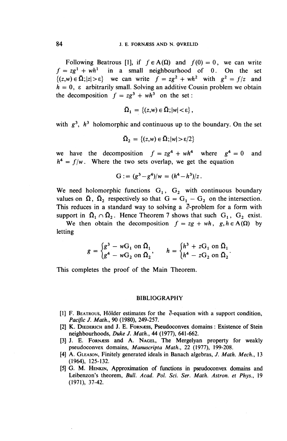Following Beatrous [1], if  $f \in A(\Omega)$  and  $f(0) = 0$ , we can write  $f = zg^1 + wh^1$  in a small neighbourhood of 0. On the set  $f = zg^2 + wh^2$  in a small neighbourhood of 0. On the set  $\{(z,w) \in \overline{\Omega}; |z| > \varepsilon\}$  we can write  $f = zg^2 + wh^2$  with  $g^2 = f/z$  and  $h = 0$ ,  $\varepsilon$  arbitrarily small. Solving an additive Cousin problem we obtain  $h = 0$ ,  $\varepsilon$  arbitrarily small. Solving an additive C<br>the decomposition  $f = zg^3 + wh^3$  on the set:

$$
\overline{\Omega}_1 = \{(z,w) \in \overline{\Omega}; |w| < \varepsilon\},\
$$

with  $g^3$ ,  $h^3$  holomorphic and continuous up to the boundary. On the set

$$
\overline{\Omega}_2 = \{(z,w) \in \overline{\Omega}; |w| > \varepsilon/2\}
$$

we have the decomposition  $f = zg^4 + wh^4$  where  $g^4 = 0$  and  $h^4 = f/w$ . Where the two sets overlap, we get the equation

$$
G := (g^3 - g^4)/w = (h^4 - h^3)/z.
$$

We need holomorphic functions  $G_1$ ,  $G_2$  with continuous boundary values on  $\overline{\Omega}$ ,  $\overline{\Omega}_2$  respectively so that  $G = G_1 - G_2$  on the intersection. This reduces in a standard way to solving a  $\bar{\partial}$ -problem for a form with support in  $\bar{\Omega}_1 \cap \bar{\Omega}_2$ . Hence Theorem 7 shows that such  $G_1$ ,  $G_2$  exist. support in  $\overline{\Omega}_1 \cap \overline{\Omega}_2$ . Hence Theorem 7 shows that such  $G_1$ ,  $G_2$  exist.<br>We then obtain the decomposition  $f = zg + wh$ ,  $g, h \in A(\Omega)$  by

letting

$$
g = \begin{cases} g^3 - wG_1 \text{ on } \Omega_1 \\ g^4 - wG_2 \text{ on } \Omega_2 \end{cases}, \qquad h = \begin{cases} h^3 + zG_1 \text{ on } \Omega_1 \\ h^4 - zG_2 \text{ on } \Omega_2 \end{cases}.
$$

This completes the proof of the Main Theorem.

#### BIBLIOGRAPHY

- [1] F. BEATROUS, Hölder estimates for the  $\bar{\partial}$ -equation with a support condition, *Pacific J. Math.,* 90 (1980), 249-257.
- [2] K. DIEDERICH and J. E. FORNÆSS, Pseudoconvex domains: Existence of Stein neighbourhoods, *Duke J. Math.,* 44 (1977), 641-662.
- [3] J. E. FORNESS and A. NAGEL, The Mergelyan property for weakly pseudoconvex domains, *Manuscripta Math.,* 22 (1977), 199-208.
- [4] A. GLEASON, Finitely generated ideals in Banach algebras, *J. Math. Mech.,* 13 (1964), 125-132.
- [5] G. M. HENKIN, Approximation of functions in pseudoconvex domains and Leibenzon's theorem, Bull. Acad. Pol. Sci. Ser. Math. Astron. et Phys., 19 (1971), 37-42.